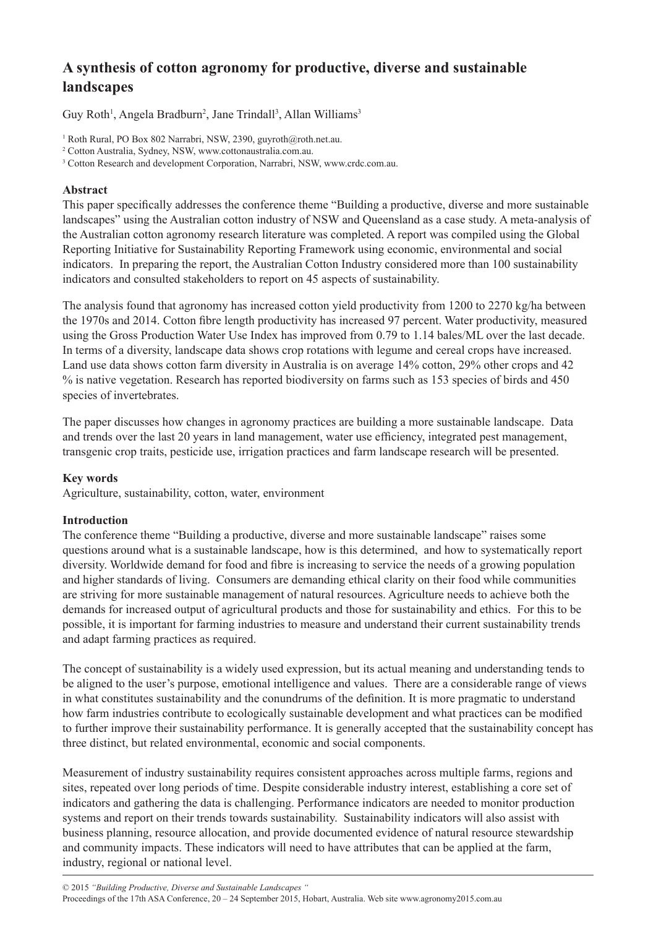# **A synthesis of cotton agronomy for productive, diverse and sustainable landscapes**

Guy Roth<sup>1</sup>, Angela Bradburn<sup>2</sup>, Jane Trindall<sup>3</sup>, Allan Williams<sup>3</sup>

1 Roth Rural, PO Box 802 Narrabri, NSW, 2390, guyroth@roth.net.au.

# **Abstract**

This paper specifically addresses the conference theme "Building a productive, diverse and more sustainable landscapes" using the Australian cotton industry of NSW and Queensland as a case study. A meta-analysis of the Australian cotton agronomy research literature was completed. A report was compiled using the Global Reporting Initiative for Sustainability Reporting Framework using economic, environmental and social indicators. In preparing the report, the Australian Cotton Industry considered more than 100 sustainability indicators and consulted stakeholders to report on 45 aspects of sustainability.

The analysis found that agronomy has increased cotton yield productivity from 1200 to 2270 kg/ha between the 1970s and 2014. Cotton fibre length productivity has increased 97 percent. Water productivity, measured using the Gross Production Water Use Index has improved from 0.79 to 1.14 bales/ML over the last decade. In terms of a diversity, landscape data shows crop rotations with legume and cereal crops have increased. Land use data shows cotton farm diversity in Australia is on average 14% cotton, 29% other crops and 42 % is native vegetation. Research has reported biodiversity on farms such as 153 species of birds and 450 species of invertebrates.

The paper discusses how changes in agronomy practices are building a more sustainable landscape. Data and trends over the last 20 years in land management, water use efficiency, integrated pest management, transgenic crop traits, pesticide use, irrigation practices and farm landscape research will be presented.

## **Key words**

Agriculture, sustainability, cotton, water, environment

## **Introduction**

The conference theme "Building a productive, diverse and more sustainable landscape" raises some questions around what is a sustainable landscape, how is this determined, and how to systematically report diversity. Worldwide demand for food and fibre is increasing to service the needs of a growing population and higher standards of living. Consumers are demanding ethical clarity on their food while communities are striving for more sustainable management of natural resources. Agriculture needs to achieve both the demands for increased output of agricultural products and those for sustainability and ethics. For this to be possible, it is important for farming industries to measure and understand their current sustainability trends and adapt farming practices as required.

The concept of sustainability is a widely used expression, but its actual meaning and understanding tends to be aligned to the user's purpose, emotional intelligence and values. There are a considerable range of views in what constitutes sustainability and the conundrums of the definition. It is more pragmatic to understand how farm industries contribute to ecologically sustainable development and what practices can be modified to further improve their sustainability performance. It is generally accepted that the sustainability concept has three distinct, but related environmental, economic and social components.

Measurement of industry sustainability requires consistent approaches across multiple farms, regions and sites, repeated over long periods of time. Despite considerable industry interest, establishing a core set of indicators and gathering the data is challenging. Performance indicators are needed to monitor production systems and report on their trends towards sustainability. Sustainability indicators will also assist with business planning, resource allocation, and provide documented evidence of natural resource stewardship and community impacts. These indicators will need to have attributes that can be applied at the farm, industry, regional or national level.

<sup>2</sup> Cotton Australia, Sydney, NSW, www.cottonaustralia.com.au.

<sup>&</sup>lt;sup>3</sup> Cotton Research and development Corporation, Narrabri, NSW, www.crdc.com.au.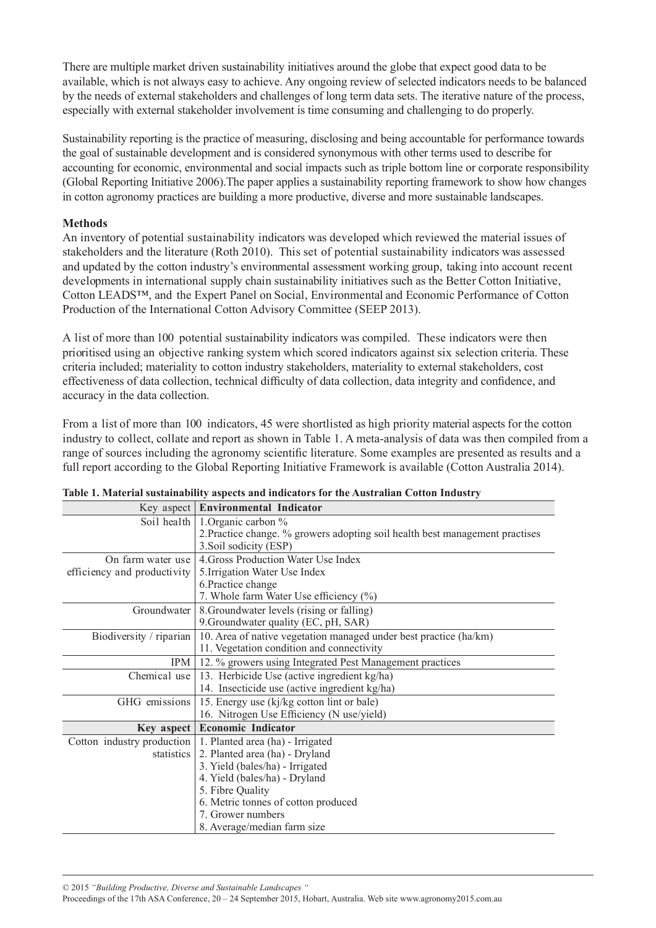There are multiple market driven sustainability initiatives around the globe that expect good data to be available, which is not always easy to achieve. Any ongoing review of selected indicators needs to be balanced by the needs of external stakeholders and challenges of long term data sets. The iterative nature of the process, especially with external stakeholder involvement is time consuming and challenging to do properly.

Sustainability reporting is the practice of measuring, disclosing and being accountable for performance towards the goal of sustainable development and is considered synonymous with other terms used to describe for accounting for economic, environmental and social impacts such as triple bottom line or corporate responsibility (Global Reporting Initiative 2006).The paper applies a sustainability reporting framework to show how changes in cotton agronomy practices are building a more productive, diverse and more sustainable landscapes.

## **Methods**

An inventory of potential sustainability indicators was developed which reviewed the material issues of stakeholders and the literature (Roth 2010). This set of potential sustainability indicators was assessed and updated by the cotton industry's environmental assessment working group, taking into account recent developments in international supply chain sustainability initiatives such as the Better Cotton Initiative, Cotton LEADS™, and the Expert Panel on Social, Environmental and Economic Performance of Cotton Production of the International Cotton Advisory Committee (SEEP 2013).

A list of more than 100 potential sustainability indicators was compiled. These indicators were then prioritised using an objective ranking system which scored indicators against six selection criteria. These criteria included; materiality to cotton industry stakeholders, materiality to external stakeholders, cost effectiveness of data collection, technical difficulty of data collection, data integrity and confidence, and accuracy in the data collection.

From a list of more than 100 indicators, 45 were shortlisted as high priority material aspects for the cotton industry to collect, collate and report as shown in Table 1. A meta-analysis of data was then compiled from a range of sources including the agronomy scientific literature. Some examples are presented as results and a full report according to the Global Reporting Initiative Framework is available (Cotton Australia 2014).

|                             | Key aspect   Environmental Indicator                                         |  |  |  |  |
|-----------------------------|------------------------------------------------------------------------------|--|--|--|--|
| Soil health                 | 1. Organic carbon $\%$                                                       |  |  |  |  |
|                             | 2. Practice change. % growers adopting soil health best management practises |  |  |  |  |
|                             | 3. Soil sodicity (ESP)                                                       |  |  |  |  |
| On farm water use           | 4. Gross Production Water Use Index                                          |  |  |  |  |
| efficiency and productivity | 5. Irrigation Water Use Index                                                |  |  |  |  |
|                             | 6. Practice change                                                           |  |  |  |  |
|                             | 7. Whole farm Water Use efficiency (%)                                       |  |  |  |  |
| Groundwater                 | 8. Groundwater levels (rising or falling)                                    |  |  |  |  |
|                             | 9. Groundwater quality (EC, pH, SAR)                                         |  |  |  |  |
| Biodiversity / riparian     | 10. Area of native vegetation managed under best practice (ha/km)            |  |  |  |  |
|                             | 11. Vegetation condition and connectivity                                    |  |  |  |  |
| IPM                         | 12. % growers using Integrated Pest Management practices                     |  |  |  |  |
| Chemical use                | 13. Herbicide Use (active ingredient kg/ha)                                  |  |  |  |  |
|                             | 14. Insecticide use (active ingredient kg/ha)                                |  |  |  |  |
| GHG emissions               | 15. Energy use (kj/kg cotton lint or bale)                                   |  |  |  |  |
|                             | 16. Nitrogen Use Efficiency (N use/yield)                                    |  |  |  |  |
|                             | Key aspect   Economic Indicator                                              |  |  |  |  |
| Cotton industry production  | 1. Planted area (ha) - Irrigated                                             |  |  |  |  |
| statistics                  | 2. Planted area (ha) - Dryland                                               |  |  |  |  |
|                             | 3. Yield (bales/ha) - Irrigated                                              |  |  |  |  |
|                             | 4. Yield (bales/ha) - Dryland                                                |  |  |  |  |
|                             | 5. Fibre Quality                                                             |  |  |  |  |
|                             | 6. Metric tonnes of cotton produced                                          |  |  |  |  |
|                             | 7. Grower numbers                                                            |  |  |  |  |
|                             | 8. Average/median farm size                                                  |  |  |  |  |

|  | Table 1. Material sustainability aspects and indicators for the Australian Cotton Industry |  |  |  |
|--|--------------------------------------------------------------------------------------------|--|--|--|
|  |                                                                                            |  |  |  |

© 2015 *"Building Productive, Diverse and Sustainable Landscapes "*

Proceedings of the 17th ASA Conference, 20 – 24 September 2015, Hobart, Australia. Web site www.agronomy2015.com.au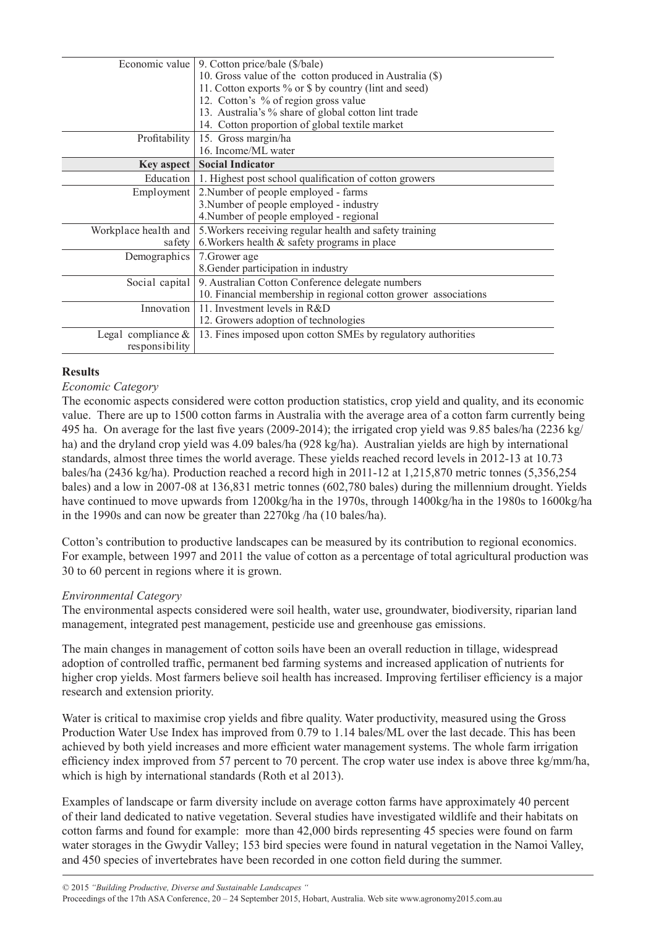| Economic value        | 9. Cotton price/bale (\$/bale)                                     |  |  |  |  |
|-----------------------|--------------------------------------------------------------------|--|--|--|--|
|                       | 10. Gross value of the cotton produced in Australia (\$)           |  |  |  |  |
|                       | 11. Cotton exports % or \$ by country (lint and seed)              |  |  |  |  |
|                       | 12. Cotton's % of region gross value                               |  |  |  |  |
|                       | 13. Australia's % share of global cotton lint trade                |  |  |  |  |
|                       | 14. Cotton proportion of global textile market                     |  |  |  |  |
| Profitability         | 15. Gross margin/ha                                                |  |  |  |  |
|                       | 16. Income/ML water                                                |  |  |  |  |
| Key aspect $ $        | <b>Social Indicator</b>                                            |  |  |  |  |
|                       | Education   1. Highest post school qualification of cotton growers |  |  |  |  |
| Employment            | 2. Number of people employed - farms                               |  |  |  |  |
|                       | 3. Number of people employed - industry                            |  |  |  |  |
|                       | 4. Number of people employed - regional                            |  |  |  |  |
| Workplace health and  | 5. Workers receiving regular health and safety training            |  |  |  |  |
| safety                | 6. Workers health $\&$ safety programs in place                    |  |  |  |  |
| Demographics          | 7. Grower age                                                      |  |  |  |  |
|                       | 8. Gender participation in industry                                |  |  |  |  |
| Social capital        | 9. Australian Cotton Conference delegate numbers                   |  |  |  |  |
|                       | 10. Financial membership in regional cotton grower associations    |  |  |  |  |
| Innovation            | 11. Investment levels in R&D                                       |  |  |  |  |
|                       | 12. Growers adoption of technologies                               |  |  |  |  |
| Legal compliance $\&$ | 13. Fines imposed upon cotton SMEs by regulatory authorities       |  |  |  |  |
| responsibility        |                                                                    |  |  |  |  |

#### **Results**

## *Economic Category*

The economic aspects considered were cotton production statistics, crop yield and quality, and its economic value. There are up to 1500 cotton farms in Australia with the average area of a cotton farm currently being 495 ha. On average for the last five years (2009-2014); the irrigated crop yield was 9.85 bales/ha (2236 kg/ ha) and the dryland crop yield was 4.09 bales/ha (928 kg/ha). Australian yields are high by international standards, almost three times the world average. These yields reached record levels in 2012-13 at 10.73 bales/ha (2436 kg/ha). Production reached a record high in 2011-12 at 1,215,870 metric tonnes (5,356,254 bales) and a low in 2007-08 at 136,831 metric tonnes (602,780 bales) during the millennium drought. Yields have continued to move upwards from 1200kg/ha in the 1970s, through 1400kg/ha in the 1980s to 1600kg/ha in the 1990s and can now be greater than 2270kg /ha (10 bales/ha).

Cotton's contribution to productive landscapes can be measured by its contribution to regional economics. For example, between 1997 and 2011 the value of cotton as a percentage of total agricultural production was 30 to 60 percent in regions where it is grown.

#### *Environmental Category*

The environmental aspects considered were soil health, water use, groundwater, biodiversity, riparian land management, integrated pest management, pesticide use and greenhouse gas emissions.

The main changes in management of cotton soils have been an overall reduction in tillage, widespread adoption of controlled traffic, permanent bed farming systems and increased application of nutrients for higher crop yields. Most farmers believe soil health has increased. Improving fertiliser efficiency is a major research and extension priority.

Water is critical to maximise crop yields and fibre quality. Water productivity, measured using the Gross Production Water Use Index has improved from 0.79 to 1.14 bales/ML over the last decade. This has been achieved by both yield increases and more efficient water management systems. The whole farm irrigation efficiency index improved from 57 percent to 70 percent. The crop water use index is above three kg/mm/ha, which is high by international standards (Roth et al 2013).

Examples of landscape or farm diversity include on average cotton farms have approximately 40 percent of their land dedicated to native vegetation. Several studies have investigated wildlife and their habitats on cotton farms and found for example: more than 42,000 birds representing 45 species were found on farm water storages in the Gwydir Valley; 153 bird species were found in natural vegetation in the Namoi Valley, and 450 species of invertebrates have been recorded in one cotton field during the summer.